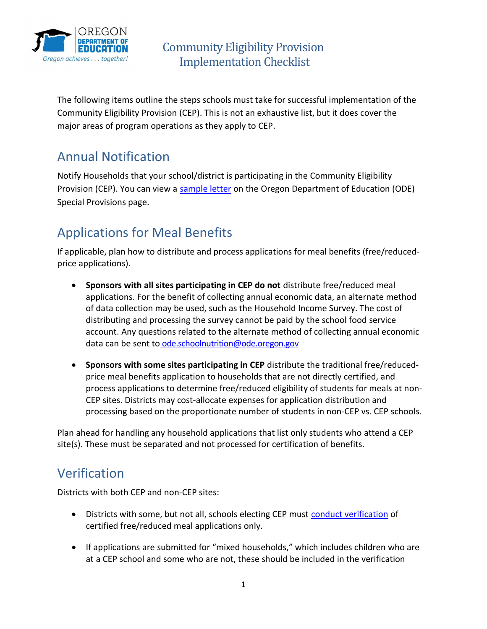

 The following items outline the steps schools must take for successful implementation of the Community Eligibility Provision (CEP). This is not an exhaustive list, but it does cover the major areas of program operations as they apply to CEP.

## Annual Notification

 Notify Households that your school/district is participating in the Community Eligibility Provision (CEP). You can view a sample letter on the Oregon Department of Education (ODE) Special Provisions page.

# Applications for Meal Benefits

 If applicable, plan how to distribute and process applications for meal benefits (free/reducedprice applications).

- **Sponsors with all sites participating in CEP do not** distribute free/reduced meal applications. For the benefit of collecting annual economic data, an alternate method of data collection may be used, such as the Household Income Survey. The cost of distributing and processing the survey cannot be paid by the school food service account. Any questions related to the alternate method of collecting annual economic data can be sent to ode.schoolnutrition@ode.oregon.gov
- Sponsors with some sites participating in CEP distribute the traditional free/reduced- price meal benefits application to households that are not directly certified, and process applications to determine free/reduced eligibility of students for meals at non- CEP sites. Districts may cost-allocate expenses for application distribution and processing based on the proportionate number of students in non-CEP vs. CEP schools.

 Plan ahead for handling any household applications that list only students who attend a CEP site(s). These must be separated and not processed for certification of benefits.

#### Verification

Districts with both CEP and non-CEP sites:

- Districts with some, but not all, schools electing CEP must conduct verification of certified free/reduced meal applications only.
- If applications are submitted for "mixed households," which includes children who are at a CEP school and some who are not, these should be included in the verification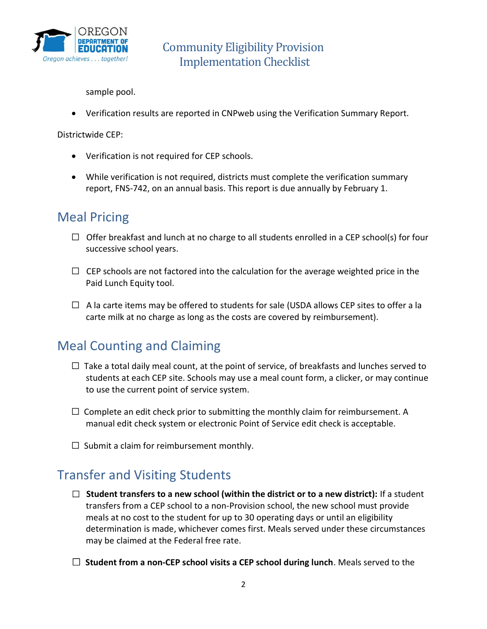

sample pool.

Verification results are reported in CNPweb using the Verification Summary Report.

Districtwide CEP:

- Verification is not required for CEP schools.
- While verification is not required, districts must complete the verification summary report, FNS-742, on an annual basis. This report is due annually by February 1.

#### Meal Pricing

- □ Offer breakfast and lunch at no charge to all students enrolled in a CEP school(s) for four successive school years.
- $\Box$  CEP schools are not factored into the calculation for the average weighted price in the Paid Lunch Equity tool.
- $\Box$  A la carte items may be offered to students for sale (USDA allows CEP sites to offer a la carte milk at no charge as long as the costs are covered by reimbursement).

### Meal Counting and Claiming

- $\Box$  Take a total daily meal count, at the point of service, of breakfasts and lunches served to students at each CEP site. Schools may use a meal count form, a clicker, or may continue to use the current point of service system.
- $\Box$  Complete an edit check prior to submitting the monthly claim for reimbursement. A manual edit check system or electronic Point of Service edit check is acceptable.
- $\Box$  Submit a claim for reimbursement monthly.

### Transfer and Visiting Students

- $\Box$  Student transfers to a new school (within the district or to a new district): If a student transfers from a CEP school to a non-Provision school, the new school must provide meals at no cost to the student for up to 30 operating days or until an eligibility determination is made, whichever comes first. Meals served under these circumstances may be claimed at the Federal free rate.
- $\Box$  Student from a non-CEP school visits a CEP school during lunch. Meals served to the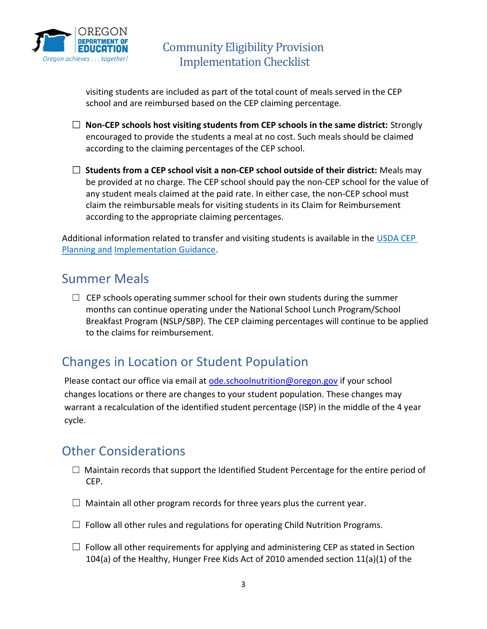

 visiting students are included as part of the total count of meals served in the CEP school and are reimbursed based on the CEP claiming percentage.

- $\Box$  Non-CEP schools host visiting students from CEP schools in the same district: Strongly encouraged to provide the students a meal at no cost. Such meals should be claimed according to the claiming percentages of the CEP school.
- $\Box$  Students from a CEP school visit a non-CEP school outside of their district: Meals may be provided at no charge. The CEP school should pay the non-CEP school for the value of any student meals claimed at the paid rate. In either case, the non-CEP school must claim the reimbursable meals for visiting students in its Claim for Reimbursement according to the appropriate claiming percentages.

Additional information related to transfer and visiting students is available in the USDA CEP Planning and Implementation Guidance.

### Summer Meals

 $\Box$  CEP schools operating summer school for their own students during the summer months can continue operating under the National School Lunch Program/School Breakfast Program (NSLP/SBP). The CEP claiming percentages will continue to be applied to the claims for reimbursement.

## Changes in Location or Student Population

Please contact our office via email at **ode.schoolnutrition@oregon.gov** if your school changes locations or there are changes to your student population. These changes may warrant a recalculation of the identified student percentage (ISP) in the middle of the 4 year cycle.

#### Other Considerations

- $\Box$  Maintain records that support the Identified Student Percentage for the entire period of CEP.
- $\Box$  Maintain all other program records for three years plus the current year.
- $\Box$  Follow all other rules and regulations for operating Child Nutrition Programs.
- $\Box$  Follow all other requirements for applying and administering CEP as stated in Section 104(a) of the Healthy, Hunger Free Kids Act of 2010 amended section 11(a)(1) of the